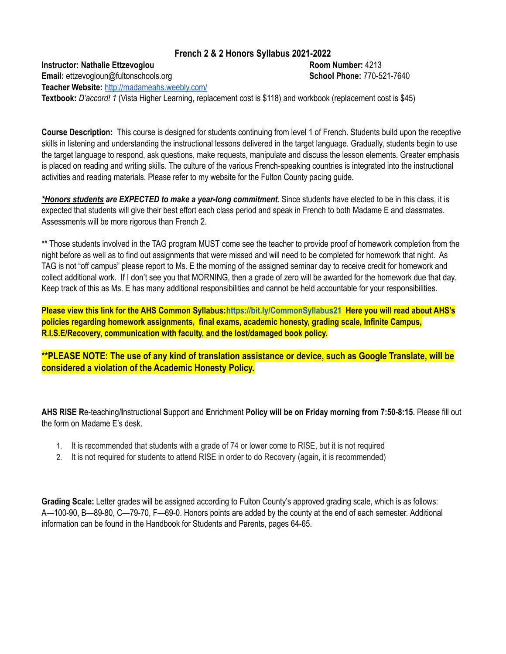## **French 2 & 2 Honors Syllabus 2021-2022**

**Instructor: Nathalie Ettzevoglou Room Number:** 4213 **Email:** ettzevogloun@fultonschools.org **School Phone:** 770-521-7640 **Teacher Website:** <http://madameahs.weebly.com/>

**Textbook:** *D'accord! 1* (Vista Higher Learning, replacement cost is \$118) and workbook (replacement cost is \$45)

**Course Description:** This course is designed for students continuing from level 1 of French. Students build upon the receptive skills in listening and understanding the instructional lessons delivered in the target language. Gradually, students begin to use the target language to respond, ask questions, make requests, manipulate and discuss the lesson elements. Greater emphasis is placed on reading and writing skills. The culture of the various French-speaking countries is integrated into the instructional activities and reading materials. Please refer to my website for the Fulton County pacing guide.

*\*Honors students are EXPECTED to make a year-long commitment.* Since students have elected to be in this class, it is expected that students will give their best effort each class period and speak in French to both Madame E and classmates. Assessments will be more rigorous than French 2.

\*\* Those students involved in the TAG program MUST come see the teacher to provide proof of homework completion from the night before as well as to find out assignments that were missed and will need to be completed for homework that night. As TAG is not "off campus" please report to Ms. E the morning of the assigned seminar day to receive credit for homework and collect additional work. If I don't see you that MORNING, then a grade of zero will be awarded for the homework due that day. Keep track of this as Ms. E has many additional responsibilities and cannot be held accountable for your responsibilities.

**Please view this link for the AHS Common Syllabus:<https://bit.ly/CommonSyllabus21> Here you will read about AHS's policies regarding homework assignments, final exams, academic honesty, grading scale, Infinite Campus, R.I.S.E/Recovery, communication with faculty, and the lost/damaged book policy.**

**\*\*PLEASE NOTE: The use of any kind of translation assistance or device, such as Google Translate, will be considered a violation of the Academic Honesty Policy.**

**AHS RISE R**e-teaching/**I**nstructional **S**upport and **E**nrichment **Policy will be on Friday morning from 7:50-8:15.** Please fill out the form on Madame E's desk.

- 1. It is recommended that students with a grade of 74 or lower come to RISE, but it is not required
- 2. It is not required for students to attend RISE in order to do Recovery (again, it is recommended)

**Grading Scale:** Letter grades will be assigned according to Fulton County's approved grading scale, which is as follows: A—100-90, B—89-80, C—79-70, F—69-0. Honors points are added by the county at the end of each semester. Additional information can be found in the Handbook for Students and Parents, pages 64-65.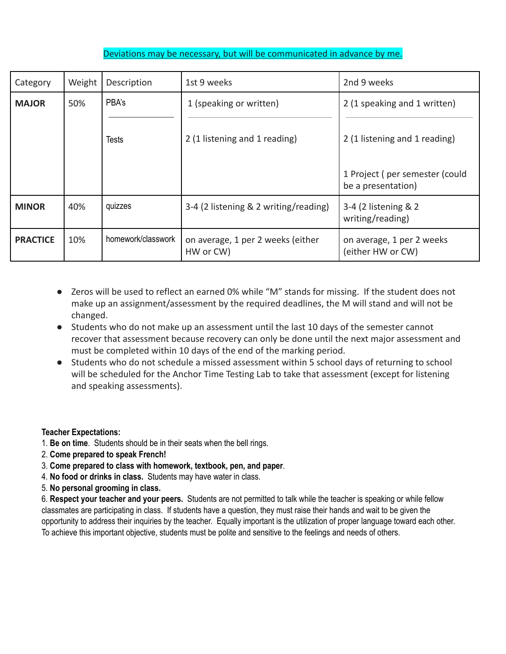## Deviations may be necessary, but will be communicated in advance by me.

| Category        | Weight | Description        | 1st 9 weeks                                    | 2nd 9 weeks                                          |
|-----------------|--------|--------------------|------------------------------------------------|------------------------------------------------------|
| <b>MAJOR</b>    | 50%    | PBA's              | 1 (speaking or written)                        | 2 (1 speaking and 1 written)                         |
|                 |        | <b>Tests</b>       | 2 (1 listening and 1 reading)                  | 2 (1 listening and 1 reading)                        |
|                 |        |                    |                                                | 1 Project (per semester (could<br>be a presentation) |
| <b>MINOR</b>    | 40%    | quizzes            | 3-4 (2 listening & 2 writing/reading)          | 3-4 (2 listening & 2<br>writing/reading)             |
| <b>PRACTICE</b> | 10%    | homework/classwork | on average, 1 per 2 weeks (either<br>HW or CW) | on average, 1 per 2 weeks<br>(either HW or CW)       |

- Zeros will be used to reflect an earned 0% while "M" stands for missing. If the student does not make up an assignment/assessment by the required deadlines, the M will stand and will not be changed.
- Students who do not make up an assessment until the last 10 days of the semester cannot recover that assessment because recovery can only be done until the next major assessment and must be completed within 10 days of the end of the marking period.
- Students who do not schedule a missed assessment within 5 school days of returning to school will be scheduled for the Anchor Time Testing Lab to take that assessment (except for listening and speaking assessments).

## **Teacher Expectations:**

- 1. **Be on time**. Students should be in their seats when the bell rings.
- 2. **Come prepared to speak French!**
- 3. **Come prepared to class with homework, textbook, pen, and paper**.
- 4. **No food or drinks in class.** Students may have water in class.
- 5. **No personal grooming in class.**

6. **Respect your teacher and your peers.** Students are not permitted to talk while the teacher is speaking or while fellow classmates are participating in class. If students have a question, they must raise their hands and wait to be given the opportunity to address their inquiries by the teacher. Equally important is the utilization of proper language toward each other. To achieve this important objective, students must be polite and sensitive to the feelings and needs of others.